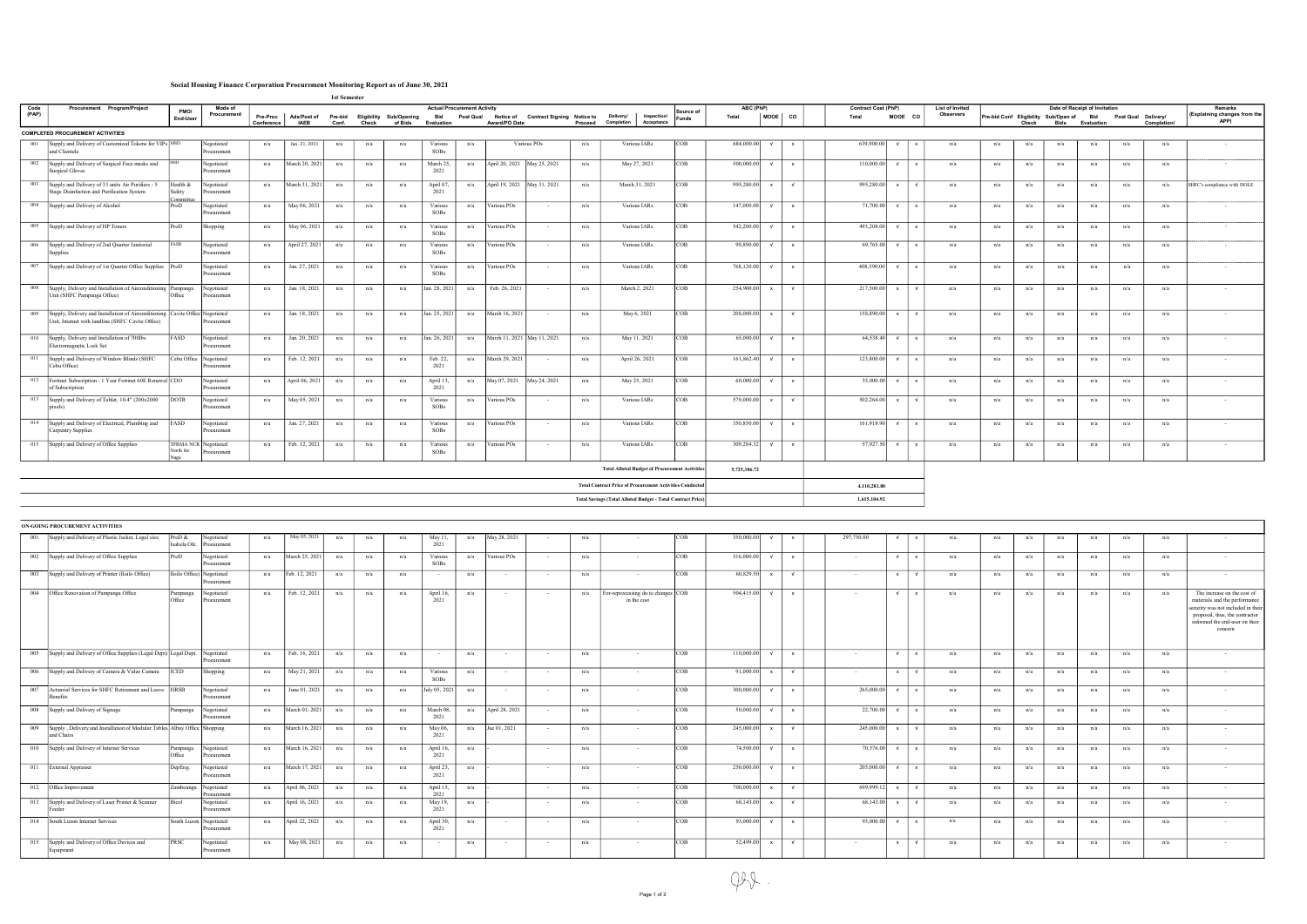## Social Housing Finance Corporation Procurement Monitoring Report as of June 30, 2021

|       | 1st Semester<br><b>Actual Procurement Activity</b>                                                                                 |                    |                                       |                        |                                                            |       |       |         |                          |     |                |                                                |         |                                                                    |            |            |               |              |                            |            |              |                        |     |       |                                              |                               |                     |             |                                      |  |
|-------|------------------------------------------------------------------------------------------------------------------------------------|--------------------|---------------------------------------|------------------------|------------------------------------------------------------|-------|-------|---------|--------------------------|-----|----------------|------------------------------------------------|---------|--------------------------------------------------------------------|------------|------------|---------------|--------------|----------------------------|------------|--------------|------------------------|-----|-------|----------------------------------------------|-------------------------------|---------------------|-------------|--------------------------------------|--|
| Code  | Procurement Program/Project                                                                                                        | PMO/               | Mode of                               |                        |                                                            |       |       |         |                          |     |                |                                                |         |                                                                    | Source of  | ABC (PhP)  |               |              | <b>Contract Cost (PhP)</b> |            |              | <b>List of Invited</b> |     |       |                                              | Date of Receipt of Invitation |                     |             | <b>Remarks</b>                       |  |
| (PAP) |                                                                                                                                    | End-User           | Procurement                           | Pre-Proc<br>Conference | Ads/Post of Pre-bid Eligibility Sub/Opening<br><b>IAEB</b> | Conf. | Check | of Bids | Bid<br><b>Evaluation</b> |     | Award/PO Date  | Post Qual Notice of Contract Signing Notice to | Proceed | Delivery/<br><b>Inspection/</b><br>Completion<br>Acceptance        | Funds      | Total      | MOOE          | co           | Total                      | MOOE CO    |              | <b>Observers</b>       |     | Check | Pre-bid Conf Eligibility Sub/Open of<br>Bids | <b>Bid</b><br>Evaluation      | Post Qual Delivery/ | Completion/ | (Explaining changes from the<br>APP) |  |
|       | <b>COMPLETED PROCUREMENT ACTIVITIES</b>                                                                                            |                    |                                       |                        |                                                            |       |       |         |                          |     |                |                                                |         |                                                                    |            |            |               |              |                            |            |              |                        |     |       |                                              |                               |                     |             |                                      |  |
| 001   | Supply and Delivery of Customized Tokens for VIPs  MSD<br>and Clientele                                                            |                    | Negotiated<br>Procurement             | n/a                    | Jan. 21, 2021                                              | n/a   | n/a   | n/a     | Various<br><b>SOBs</b>   | n/a |                | Various POs                                    | n/a     | Various IARs                                                       | COB        | 684,000.00 |               | $\mathbf{x}$ | 639,900.00                 |            |              | n/a                    | n/a | n/a   | n/a                                          | n/a                           | n/a                 | n/a         | $\sim$                               |  |
| 002   | Supply and Delivery of Surgical Face masks and<br><b>Surgical Gloves</b>                                                           |                    | Negotiated<br>Procurement             | n/a                    | March 20, 2021                                             | n/a   | n/a   | n/a     | March 25,<br>2021        | n/a |                | April 20, 2021 May 25, 2021                    | n/a     | May 27, 2021                                                       | COB        | 500,000.00 | $\mathsf{v}$  | $\mathsf{x}$ | 110,000.00                 | $\sqrt{ }$ |              | n/a                    | n/a | n/a   | n/a                                          | n/a                           | n/a                 | n/a         | $\sim$                               |  |
| 003   | Supply and Delivery of 33 units Air Purifiers - 5<br>Stage Disinfection and Purification System                                    | Health &<br>Safety | Negotiated<br>rocurement              | n/a                    | March 31, 2021                                             | n/a   | n/a   | n/a     | April 07,<br>2021        | n/a |                | April 19, 2021 May 31, 2021                    | n/a     | March 31, 2021                                                     | <b>COB</b> | 995,280.00 | $\mathsf{x}$  | $\sqrt{ }$   | 995,280.00 x               |            |              | n/a                    | n/a | n/a   | n/a                                          | n/a                           | n/a                 | n/a         | SHFC's compliance with DOLE          |  |
| 004   | Supply and Delivery of Alcohol                                                                                                     | omm<br>ProD        | Negotiated<br>Procurement             | n/a                    | May 06, 2021                                               | n/a   | n/a   | n/a     | Various<br>SOBs          | n/a | Various POs    | $\sim$                                         | n/a     | Various IARs                                                       | COB        | 147,000.00 | $\mathsf{v}$  | $\mathsf{x}$ | 71,700.00 $\sqrt{ }$       |            |              | n/a                    | n/a | n/a   | n/a                                          | n/a                           | n/a                 | n/a         | $\sim$                               |  |
|       | 005 Supply and Delivery of HP Toners                                                                                               | $ P_{\rm TOD} $    | Shopping                              | n/a                    | May 06, 2021                                               | n/a   | n/a   | n/a     | Various<br><b>SOBs</b>   | n/a | Various POs    | $\sim$                                         | n/a     | Various IARs                                                       | <b>COB</b> | 542,200.00 | $\sqrt{ }$    | $\mathsf{x}$ | 493,208.00 $\sqrt{ }$      |            | $\mathbf{x}$ | n/a                    | n/a | n/a   | n/a                                          | n/a                           | n/a                 | n/a         | $\sim$                               |  |
| 006   | Supply and Delivery of 2nd Quarter Janitorial<br>Supplies                                                                          | FASD               | Negotiated<br>Procurement             | n/a                    | April 27, 2021                                             | n/a   | n/a   | n/a     | Various<br><b>SOBs</b>   | n/a | Various POs    |                                                | n/a     | Various IARs                                                       | COB        | 99,890.00  | $\mathsf{v}$  | $\mathbf{x}$ | 69,765.00                  | √ √        |              | n/a                    | n/a | n/a   | n/a                                          | n/a                           | n/a                 | n/a         | $\sim$                               |  |
| 007   | Supply and Delivery of 1st Quarter Office Supplies ProD                                                                            |                    | Negotiated<br>Procurement             | n/a                    | Jan. 27, 2021                                              | n/a   | n/a   | n/a     | Various<br><b>SOBs</b>   | n/a | Various POs    | $\sim$                                         | n/a     | Various IARs                                                       | COB        | 768,120.00 | $\sqrt{ }$    | $\mathbf{x}$ | 408,590.00                 |            |              | n/a                    | n/a | n/a   | n/a                                          | n/a                           | n/a                 | n/a         | $\sim$                               |  |
| 008   | Supply, Delivery and Installation of Airconditioning Pampanga<br>Unit (SHFC Pampanga Office)                                       | Office             | Negotiated<br>Procurement             | n/a                    | Jan. 18, 2021                                              | n/a   | n/a   | n/a     | Jan. 28, 2021            | n/a | Feb. 26, 2021  | $\sim$ $-$                                     | n/a     | March 2, 2021                                                      | COB        | 254,900.00 | $\mathbf{x}$  | $\sqrt{ }$   | $217,500.00$ x             |            | $\sqrt{ }$   | n/a                    | n/a | n/a   | n/a                                          | n/a                           | n/a                 | n/a         | $\sim$                               |  |
| 009   | Supply, Delivery and Installation of Airconditioning Cavite Office Negotiated<br>Unit, Internet with landline (SHFC Cavite Office) |                    | Procurement                           | n/a                    | Jan. 18, 2021                                              | n/a   | n/a   | n/a     | Jan. 25, 2021            | n/a | March 16, 2021 | $\sim$                                         | n/a     | May 6, 2021                                                        | COB        | 208,000.00 | $\mathbf{x}$  | $\sqrt{ }$   | 158,890.00 x               |            | $\sqrt{ }$   | n/a                    | n/a | n/a   | n/a                                          | n/a                           | n/a                 | n/a         | $\sim$                               |  |
| 010   | Supply, Delivery and Installation of 700lbs<br>Electromagnetic Lock Set                                                            | FASD               | Negotiated<br>Procurement             | n/a                    | Jan. 20, 2021                                              | n/a   | n/a   | n/a     | Jan. 26, 2021            | n/a |                | March 11, 2021 May 11, 2021                    | n/a     | May 11, 2021                                                       | <b>COB</b> | 65,000.00  | $\mathcal{N}$ | $\mathbf{x}$ | $64,538.40$ $\sqrt{ }$     |            | $\mathbf{x}$ | n/a                    | n/a | n/a   | n/a                                          | n/a                           | n/a                 | n/a         | $\sim$                               |  |
| 011   | Supply and Delivery of Window Blinds (SHFC<br>Cebu Office)                                                                         |                    | Cebu Office Negotiated<br>Procurement | n/a                    | Feb. 12, 2021                                              | n/a   | n/a   | n/a     | Feb. 22,<br>2021         | n/a | March 29, 2021 | $\sim$                                         | n/a     | April 26, 2021                                                     | COB        | 161,862.40 | $\mathcal{N}$ | $\mathsf{x}$ | 123,800.00                 | $\sqrt{ }$ |              | n/a                    | n/a | n/a   | n/a                                          | n/a                           | n/a                 | n/a         | $\sim$                               |  |
|       | 012 Fortinet Subscription - 1 Year Fortinet 60E Renewal CDO<br>of Subscription                                                     |                    | Negotiated<br>Procurement             | n/a                    | April 06, 2021                                             | n/a   | n/a   | n/a     | April 13,<br>2021        | n/a | May 07, 2021   | May 24, 2021                                   | n/a     | May 25, 2021                                                       | COB        | 60,000.00  | $\sqrt{ }$    | $\mathbf{x}$ | 35,000.00                  | $\sqrt{ }$ |              | n/a                    | n/a | n/a   | n/a                                          | n/a                           | n/a                 | n/a         | $\sim$                               |  |
| 013   | Supply and Delivery of Tablet, 10.4" (200x2000<br>pixels)                                                                          | <b>DOTR</b>        | Negotiated<br>Procurement             | n/a                    | May 05, 2021                                               | n/a   | n/a   | n/a     | Various<br>SOBs          | n/a | Various POs    | $\sim$                                         | n/a     | Various IARs                                                       | COB        | 579,000.00 | $\mathbf{x}$  | $\sqrt{ }$   | $502,264.00$ x             |            | $\sqrt{ }$   | n/a                    | n/a | n/a   | n/a                                          | n/a                           | n/a                 | n/a         | $\sim$                               |  |
| 014   | Supply and Delivery of Electrical, Plumbing and<br>Carpentry Supplies                                                              | FASD               | Negotiated<br>Procurement             | n/a                    | Jan. 27, 2021                                              | n/a   | n/a   | n/a     | Various<br>SOBs          | n/a | Various POs    |                                                | n/a     | Various IARs                                                       | COB        | 350,850.00 | $\sqrt{ }$    | $\mathbf{x}$ | 161,918.90                 | $\sqrt{ }$ |              | n/a                    | n/a | n/a   | n/a                                          | n/a                           | n/a                 | n/a         | $\sim$                               |  |
| 015   | Supply and Delivery of Office Supplies                                                                                             | North for          | TFRMA NCR Negotiated<br>rocurement    | n/a                    | Feb. 12, 2021                                              | n/a   | n/a   | n/a     | Various<br><b>SOBs</b>   | n/a | Various POs    | $\sim$                                         | n/a     | Various IARs                                                       | COB        | 309,284.32 | $\sqrt{ }$    | $\mathsf{x}$ | 57,927.50                  | $\sqrt{ }$ | $\mathbf{x}$ | n/a                    | n/a | n/a   | n/a                                          | n/a                           | n/a                 | n/a         | $\sim$                               |  |
|       |                                                                                                                                    |                    |                                       |                        |                                                            |       |       |         |                          |     |                |                                                |         | <b>Total Alloted Budget of Procurement Activities</b>              |            |            | 5,725,386.72  |              |                            |            |              |                        |     |       |                                              |                               |                     |             |                                      |  |
|       |                                                                                                                                    |                    |                                       |                        |                                                            |       |       |         |                          |     |                |                                                |         | <b>Total Contract Price of Procurement Activities Conducted</b>    |            |            |               |              | 4,110,281.80               |            |              |                        |     |       |                                              |                               |                     |             |                                      |  |
|       |                                                                                                                                    |                    |                                       |                        |                                                            |       |       |         |                          |     |                |                                                |         | <b>Total Savings (Total Alloted Budget - Total Contract Price)</b> |            |            |               |              | 1,615,104.92               |            |              |                        |     |       |                                              |                               |                     |             |                                      |  |

| ON-GOING PROCUREMENT ACTIVITIES<br>350,000,00<br>$\mathcal{N}$                              |                         |                                         |     |                |     |     |     |                        |     |                |        |     |                                                   |            |            |               |              |            |              |                |     |     |     |     |     |     |     |                                                                                                                                                                                   |
|---------------------------------------------------------------------------------------------|-------------------------|-----------------------------------------|-----|----------------|-----|-----|-----|------------------------|-----|----------------|--------|-----|---------------------------------------------------|------------|------------|---------------|--------------|------------|--------------|----------------|-----|-----|-----|-----|-----|-----|-----|-----------------------------------------------------------------------------------------------------------------------------------------------------------------------------------|
| 001 Supply and Delivery of Plastic Jacket, Legal size                                       | ProD $&$<br>Isabela Ofc | Negotiated<br>Procurement               | n/a | May 05, 2021   | n/a | n/a | n/a | May 11,<br>2021        | n/a | May 28, 2021   |        | n/a |                                                   | <b>COB</b> |            |               | $\mathbf{x}$ | 297,750.00 |              |                | n/a | n/a | n/a | n/a | n/a | n/a | n/a | $\sim$ $-$                                                                                                                                                                        |
| 002 Supply and Delivery of Office Supplies                                                  | ProD                    | Negotiated<br>rocurement                | n/a | March 25, 2021 | n/a | n/a | n/a | Various<br><b>SOBs</b> | n/a | Various POs    |        | n/a | $\sim$                                            | COB        | 516,000.00 |               | $\mathsf{x}$ | $\sim$     | $\sqrt{ }$   | $\sim$         | n/a | n/a | n/a | n/a | n/a | n/a | n/a | $\sim$ $-$                                                                                                                                                                        |
| 003 Supply and Delivery of Printer (Iloilo Office)                                          |                         | Iloilo Office) Negotiated<br>rocurement | n/a | Feb. 12, 2021  | n/a | n/a | n/a | $\sim$                 | n/a | $\sim$         |        | n/a | $\sim$                                            | COB        | 60,829.50  |               | $\sqrt{ }$   | $\sim$     | $\mathbf{x}$ | $\overline{M}$ | n/a | n/a | n/a | n/a | n/a | n/a | n/a | $\sim$ $-$                                                                                                                                                                        |
| 004 Office Renovation of Pampanga Office                                                    | Pampanga<br>Office      | Negotiated<br>rocurement                | n/a | Feb. 12, 2021  | n/a | n/a | n/a | April 16,<br>2021      | n/a | $\sim$         | $\sim$ | n/a | For-reprocessing du to changes COB<br>in the cost |            | 504,415.00 |               | $\mathsf{x}$ | $\sim$     | $\sqrt{ }$   | $\mathbf{x}$   | n/a | n/a | n/a | n/a | n/a | n/a | n/a | The increase on the cost of<br>materials and the performance<br>security was not included in their<br>proposal, thus, the contractor<br>informed the end-user on their<br>concern |
| 005 Supply and Delivery of Office Supplies (Legal Dept) Legal Dept. Negotiated              |                         | Procurement                             | n/a | Feb. 16, 2021  | n/a | n/a | n/a | $\sim$                 | n/a | $\sim$         | $\sim$ | n/a | $\sim$                                            | COB        | 110,000.00 | $\sqrt{ }$    | $\mathsf{x}$ | $\sim$     | $\sqrt{ }$   |                | n/a | n/a | n/a | n/a | n/a | n/a | n/a | $\sim$ $-$                                                                                                                                                                        |
| 006 Supply and Delivery of Camera & Video Camera                                            | ICED                    | Shopping                                | n/a | May 21, 2021   | n/a | n/a | n/a | Various<br><b>SOBs</b> | n/a | $\sim$         | $\sim$ | n/a | $\sim$                                            | COB        | 91,000.00  | $\mathbf{x}$  | $\sqrt{ }$   | $\sim$     | $\mathbf{Y}$ | $\sqrt{ }$     | n/a | n/a | n/a | n/a | n/a | n/a | n/a | $\sim$                                                                                                                                                                            |
| 007 Actuarial Services for SHFC Retirement and Leave HRSB<br>Benefit                        |                         | Negotiated<br>Procurement               | n/a | June 01, 2021  | n/a | n/a | n/a | July 05, 2021          | n/a | $\sim$         | $\sim$ | n/a | $\sim$                                            | COB        | 300,000,00 | $\sqrt{ }$    | $\mathbf{x}$ | 265,000.00 | $\sqrt{ }$   | $\mathbf{x}$   | n/a | n/a | n/a | n/a | n/a | n/a | n/a | $\sim$ $-$                                                                                                                                                                        |
| 008 Supply and Delivery of Signage                                                          | Pampanga                | Vegotiated<br>rocurement                | n/a | March 01, 2021 | n/a | n/a | n/a | March 08,<br>2021      | n/a | April 28, 2021 | $\sim$ | n/a | $\sim$                                            | COB        | 50,000.00  | $\sqrt{ }$    | $\mathbf{x}$ | 22,700.00  | $\sqrt{ }$   | $\mathbf{x}$   | n/a | n/a | n/a | n/a | n/a | n/a | n/a | $\sim$ $-$                                                                                                                                                                        |
| 009 Supply, Delivery and Installation of Modular Tables Albay Office Shopping<br>and Chairs |                         |                                         | n/a | March 16, 2021 | n/a | n/a | n/a | May 06,<br>2021        | n/a | Jue 01, 2021   | $\sim$ | n/a | $\sim$                                            | <b>COB</b> | 245,000.00 | $\mathbf{x}$  | $\sqrt{ }$   | 245,000.00 | $\mathbf{x}$ | $\mathsf{v}$   | n/a | n/a | n/a | n/a | n/a | n/a | n/a | $\sim$ $-$                                                                                                                                                                        |
| 010 Supply and Delivery of Internet Services                                                | Pampanga<br>of the      | Negotiated<br>Procurement               | n/a | March 16, 2021 | n/a | n/a | n/a | April 16,<br>2021      | n/a |                | $\sim$ | n/a | $\sim$                                            | <b>COB</b> | 74,500.00  | $\mathcal{N}$ | $\times$     | 70,576.00  | $\sqrt{ }$   | $\mathbf{x}$   | n/a | n/a | n/a | n/a | n/a | n/a | n/a | $\sim$                                                                                                                                                                            |
| 011 External Appraiser                                                                      | DepEng.                 | legotiated<br>rocurement                | n/a | March 17, 2021 | n/a | n/a | n/a | April 23,<br>2021      | n/a |                |        | n/a | $\sim$                                            | COB        | 250,000,00 | $\sqrt{ }$    | $\mathbf{x}$ | 205,000.00 | $\sqrt{ }$   | $\mathbf{x}$   | n/a | n/a | n/a | n/a | n/a | n/a | n/a | $\sim$                                                                                                                                                                            |
| 012 Office Improvement                                                                      |                         | Zamboanga Negotiated<br>Procurement     | n/a | April 06, 2021 | n/a | n/a | n/a | April 15,<br>2021      | n/a |                | $\sim$ | n/a | $\sim 10^{-11}$                                   | <b>COB</b> | 700,000.00 | $\mathbf{x}$  | $\sqrt{ }$   | 699,999.12 | $\mathbf{x}$ | $\sqrt{ }$     | n/a | n/a | n/a | n/a | n/a | n/a | n/a | $\sim$ $-$                                                                                                                                                                        |
| 013 Supply and Delivery of Laser Printer & Scanner                                          | Bicol                   | Negotiated<br>Procurement               | n/a | April 16, 2021 | n/a | n/a | n/a | May 19,<br>2021        | n/a |                | $\sim$ | n/a | $\sim$                                            | <b>COB</b> | 68,143.00  |               | $\sqrt{ }$   | 68,143.00  |              | $\sqrt{ }$     | n/a | n/a | n/a | n/a | n/a | n/a | n/a | $\sim$                                                                                                                                                                            |
| 014 South Luzon Internet Services                                                           |                         | South Luzon Negotiated<br>Procurement   | n/a | April 22, 2021 | n/a | n/a | n/a | April 30,<br>2021      | n/a | $\sim$         | $\sim$ | n/a | $\sim$                                            | COB        | 93,000.00  | $\mathsf{v}$  | $\mathsf{x}$ | 93,000.00  |              |                | n/a | n/a | n/a | n/a | n/a | n/a | n/a | $\sim$                                                                                                                                                                            |
| 015 Supply and Delivery of Office Devices and<br>Equipment                                  | PRSC                    | Negotiated<br>Procurement               | n/a | May 08, 2021   | n/a | n/a | n/a | $\sim$                 | n/a | $\sim$         | $\sim$ | n/a | $\sim$                                            | <b>COB</b> | 52,499.00  | $\mathbf{x}$  | $\mathsf{v}$ | $\sim$     | $\mathbf{x}$ | $\sqrt{ }$     | n/a | n/a | n/a | n/a | n/a | n/a | n/a | <b>Contract</b>                                                                                                                                                                   |

 $\bigcirc \mathcal{G}$ <br>Page 1 of 2